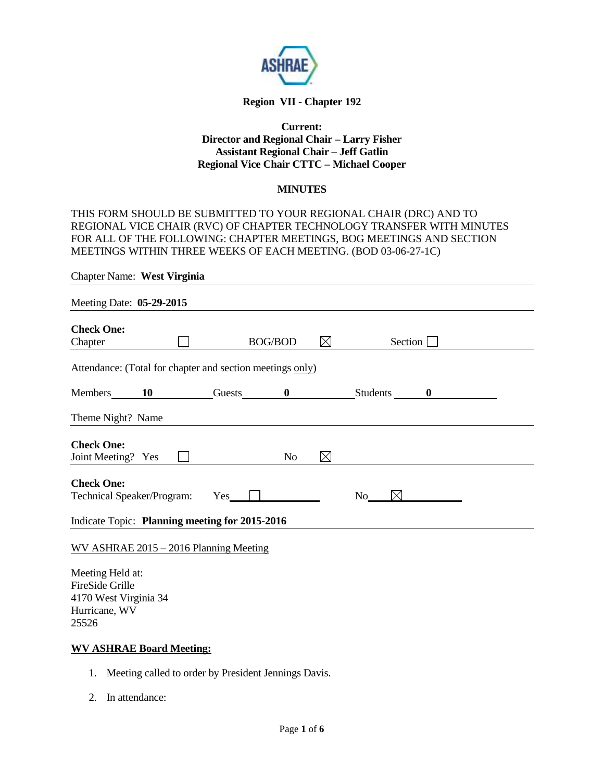

# **Region VII - Chapter 192**

## **Current: Director and Regional Chair – Larry Fisher Assistant Regional Chair – Jeff Gatlin Regional Vice Chair CTTC – Michael Cooper**

## **MINUTES**

THIS FORM SHOULD BE SUBMITTED TO YOUR REGIONAL CHAIR (DRC) AND TO REGIONAL VICE CHAIR (RVC) OF CHAPTER TECHNOLOGY TRANSFER WITH MINUTES FOR ALL OF THE FOLLOWING: CHAPTER MEETINGS, BOG MEETINGS AND SECTION MEETINGS WITHIN THREE WEEKS OF EACH MEETING. (BOD 03-06-27-1C)

| <b>Chapter Name: West Virginia</b>                        |       |                |             |                     |  |
|-----------------------------------------------------------|-------|----------------|-------------|---------------------|--|
| Meeting Date: 05-29-2015                                  |       |                |             |                     |  |
| <b>Check One:</b><br>Chapter                              |       | <b>BOG/BOD</b> | $\boxtimes$ | Section             |  |
| Attendance: (Total for chapter and section meetings only) |       |                |             |                     |  |
| Members 10 Guests 0 Students 0                            |       |                |             |                     |  |
| Theme Night? Name                                         |       |                |             |                     |  |
| <b>Check One:</b><br>Joint Meeting? Yes                   |       | N <sub>o</sub> | $\boxtimes$ |                     |  |
| <b>Check One:</b><br><b>Technical Speaker/Program:</b>    | $Yes$ |                |             | $\boxtimes$<br>No r |  |
| Indicate Topic: Planning meeting for 2015-2016            |       |                |             |                     |  |
| WV ASHRAE 2015 - 2016 Planning Meeting                    |       |                |             |                     |  |

Meeting Held at: FireSide Grille 4170 West Virginia 34 Hurricane, WV 25526

## **WV ASHRAE Board Meeting:**

- 1. Meeting called to order by President Jennings Davis.
- 2. In attendance: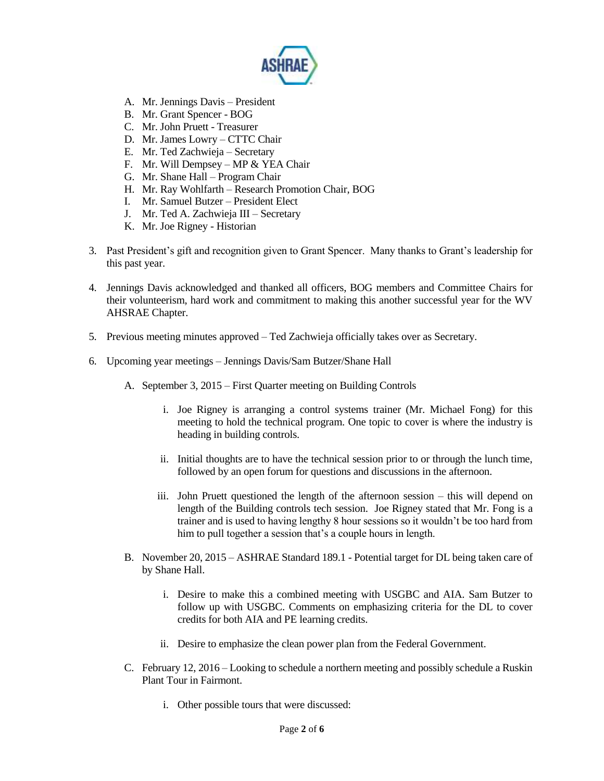

- A. Mr. Jennings Davis President
- B. Mr. Grant Spencer BOG
- C. Mr. John Pruett Treasurer
- D. Mr. James Lowry CTTC Chair
- E. Mr. Ted Zachwieja Secretary
- F. Mr. Will Dempsey MP & YEA Chair
- G. Mr. Shane Hall Program Chair
- H. Mr. Ray Wohlfarth Research Promotion Chair, BOG
- I. Mr. Samuel Butzer President Elect
- J. Mr. Ted A. Zachwieja III Secretary
- K. Mr. Joe Rigney Historian
- 3. Past President's gift and recognition given to Grant Spencer. Many thanks to Grant's leadership for this past year.
- 4. Jennings Davis acknowledged and thanked all officers, BOG members and Committee Chairs for their volunteerism, hard work and commitment to making this another successful year for the WV AHSRAE Chapter.
- 5. Previous meeting minutes approved Ted Zachwieja officially takes over as Secretary.
- 6. Upcoming year meetings Jennings Davis/Sam Butzer/Shane Hall
	- A. September 3, 2015 First Quarter meeting on Building Controls
		- i. Joe Rigney is arranging a control systems trainer (Mr. Michael Fong) for this meeting to hold the technical program. One topic to cover is where the industry is heading in building controls.
		- ii. Initial thoughts are to have the technical session prior to or through the lunch time, followed by an open forum for questions and discussions in the afternoon.
		- iii. John Pruett questioned the length of the afternoon session this will depend on length of the Building controls tech session. Joe Rigney stated that Mr. Fong is a trainer and is used to having lengthy 8 hour sessions so it wouldn't be too hard from him to pull together a session that's a couple hours in length.
	- B. November 20, 2015 ASHRAE Standard 189.1 Potential target for DL being taken care of by Shane Hall.
		- i. Desire to make this a combined meeting with USGBC and AIA. Sam Butzer to follow up with USGBC. Comments on emphasizing criteria for the DL to cover credits for both AIA and PE learning credits.
		- ii. Desire to emphasize the clean power plan from the Federal Government.
	- C. February 12, 2016 Looking to schedule a northern meeting and possibly schedule a Ruskin Plant Tour in Fairmont.
		- i. Other possible tours that were discussed: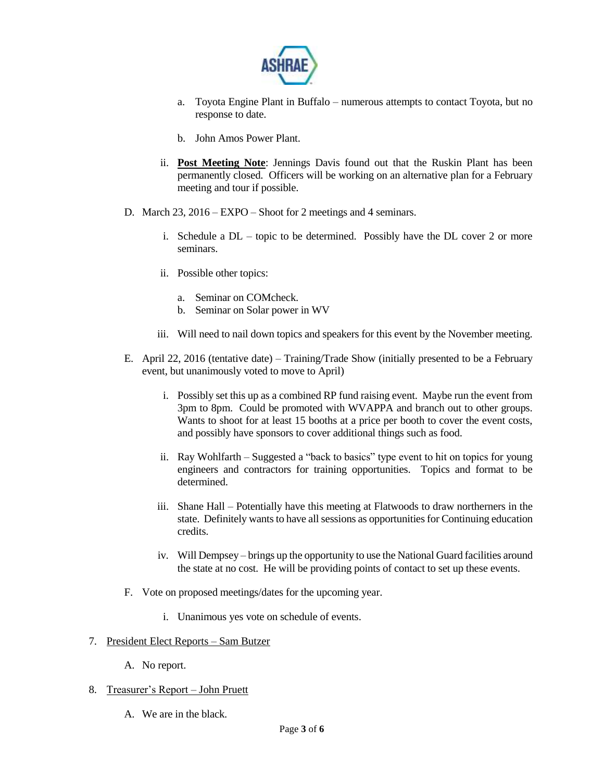

- a. Toyota Engine Plant in Buffalo numerous attempts to contact Toyota, but no response to date.
- b. John Amos Power Plant.
- ii. **Post Meeting Note**: Jennings Davis found out that the Ruskin Plant has been permanently closed. Officers will be working on an alternative plan for a February meeting and tour if possible.
- D. March 23, 2016 EXPO Shoot for 2 meetings and 4 seminars.
	- i. Schedule a DL topic to be determined. Possibly have the DL cover 2 or more seminars.
	- ii. Possible other topics:
		- a. Seminar on COMcheck.
		- b. Seminar on Solar power in WV
	- iii. Will need to nail down topics and speakers for this event by the November meeting.
- E. April 22, 2016 (tentative date) Training/Trade Show (initially presented to be a February event, but unanimously voted to move to April)
	- i. Possibly set this up as a combined RP fund raising event. Maybe run the event from 3pm to 8pm. Could be promoted with WVAPPA and branch out to other groups. Wants to shoot for at least 15 booths at a price per booth to cover the event costs, and possibly have sponsors to cover additional things such as food.
	- ii. Ray Wohlfarth Suggested a "back to basics" type event to hit on topics for young engineers and contractors for training opportunities. Topics and format to be determined.
	- iii. Shane Hall Potentially have this meeting at Flatwoods to draw northerners in the state. Definitely wants to have all sessions as opportunities for Continuing education credits.
	- iv. Will Dempsey brings up the opportunity to use the National Guard facilities around the state at no cost. He will be providing points of contact to set up these events.
- F. Vote on proposed meetings/dates for the upcoming year.
	- i. Unanimous yes vote on schedule of events.

#### 7. President Elect Reports – Sam Butzer

- A. No report.
- 8. Treasurer's Report John Pruett
	- A. We are in the black.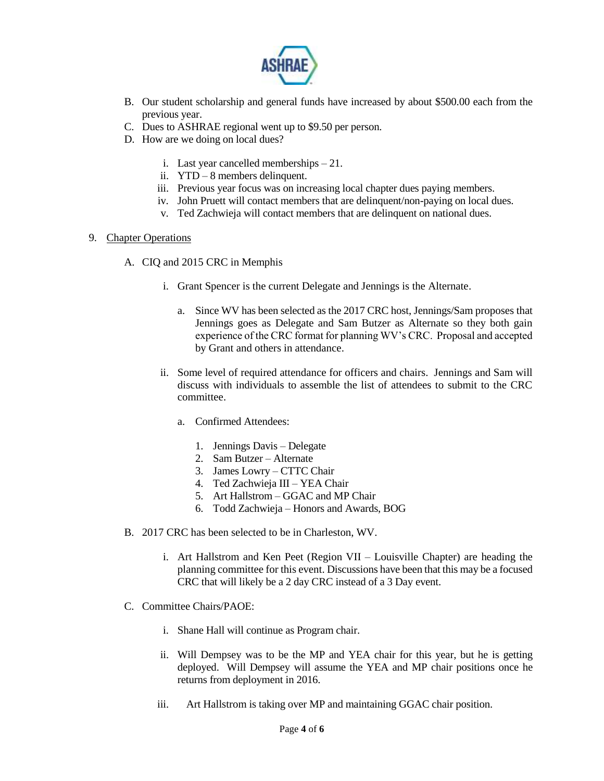

- B. Our student scholarship and general funds have increased by about \$500.00 each from the previous year.
- C. Dues to ASHRAE regional went up to \$9.50 per person.
- D. How are we doing on local dues?
	- i. Last year cancelled memberships 21.
	- ii. YTD 8 members delinquent.
	- iii. Previous year focus was on increasing local chapter dues paying members.
	- iv. John Pruett will contact members that are delinquent/non-paying on local dues.
	- v. Ted Zachwieja will contact members that are delinquent on national dues.

#### 9. Chapter Operations

- A. CIQ and 2015 CRC in Memphis
	- i. Grant Spencer is the current Delegate and Jennings is the Alternate.
		- a. Since WV has been selected as the 2017 CRC host, Jennings/Sam proposes that Jennings goes as Delegate and Sam Butzer as Alternate so they both gain experience of the CRC format for planning WV's CRC. Proposal and accepted by Grant and others in attendance.
	- ii. Some level of required attendance for officers and chairs. Jennings and Sam will discuss with individuals to assemble the list of attendees to submit to the CRC committee.
		- a. Confirmed Attendees:
			- 1. Jennings Davis Delegate
			- 2. Sam Butzer Alternate
			- 3. James Lowry CTTC Chair
			- 4. Ted Zachwieja III YEA Chair
			- 5. Art Hallstrom GGAC and MP Chair
			- 6. Todd Zachwieja Honors and Awards, BOG
- B. 2017 CRC has been selected to be in Charleston, WV.
	- i. Art Hallstrom and Ken Peet (Region VII Louisville Chapter) are heading the planning committee for this event. Discussions have been that this may be a focused CRC that will likely be a 2 day CRC instead of a 3 Day event.
- C. Committee Chairs/PAOE:
	- i. Shane Hall will continue as Program chair.
	- ii. Will Dempsey was to be the MP and YEA chair for this year, but he is getting deployed. Will Dempsey will assume the YEA and MP chair positions once he returns from deployment in 2016.
	- iii. Art Hallstrom is taking over MP and maintaining GGAC chair position.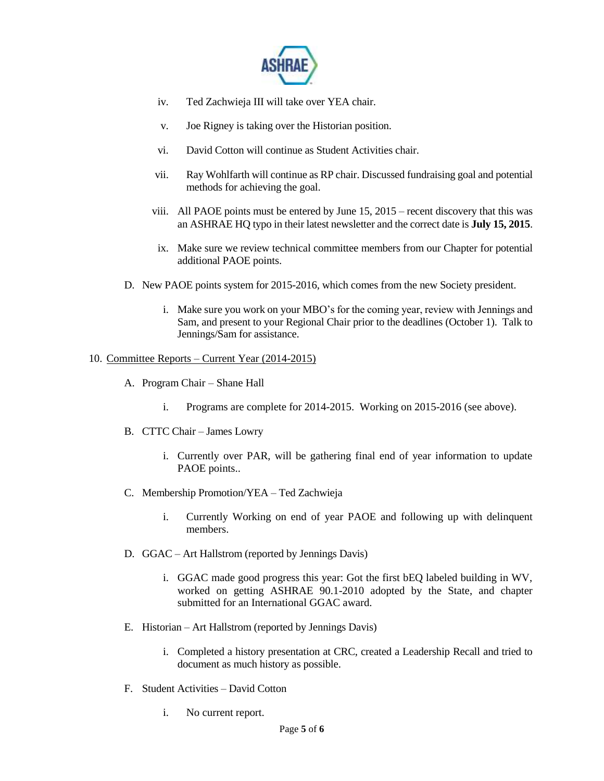

- iv. Ted Zachwieja III will take over YEA chair.
- v. Joe Rigney is taking over the Historian position.
- vi. David Cotton will continue as Student Activities chair.
- vii. Ray Wohlfarth will continue as RP chair. Discussed fundraising goal and potential methods for achieving the goal.
- viii. All PAOE points must be entered by June 15, 2015 recent discovery that this was an ASHRAE HQ typo in their latest newsletter and the correct date is **July 15, 2015**.
- ix. Make sure we review technical committee members from our Chapter for potential additional PAOE points.
- D. New PAOE points system for 2015-2016, which comes from the new Society president.
	- i. Make sure you work on your MBO's for the coming year, review with Jennings and Sam, and present to your Regional Chair prior to the deadlines (October 1). Talk to Jennings/Sam for assistance.

## 10. Committee Reports – Current Year (2014-2015)

- A. Program Chair Shane Hall
	- i. Programs are complete for 2014-2015. Working on 2015-2016 (see above).
- B. CTTC Chair James Lowry
	- i. Currently over PAR, will be gathering final end of year information to update PAOE points..
- C. Membership Promotion/YEA Ted Zachwieja
	- i. Currently Working on end of year PAOE and following up with delinquent members.
- D. GGAC Art Hallstrom (reported by Jennings Davis)
	- i. GGAC made good progress this year: Got the first bEQ labeled building in WV, worked on getting ASHRAE 90.1-2010 adopted by the State, and chapter submitted for an International GGAC award.
- E. Historian Art Hallstrom (reported by Jennings Davis)
	- i. Completed a history presentation at CRC, created a Leadership Recall and tried to document as much history as possible.
- F. Student Activities David Cotton
	- i. No current report.